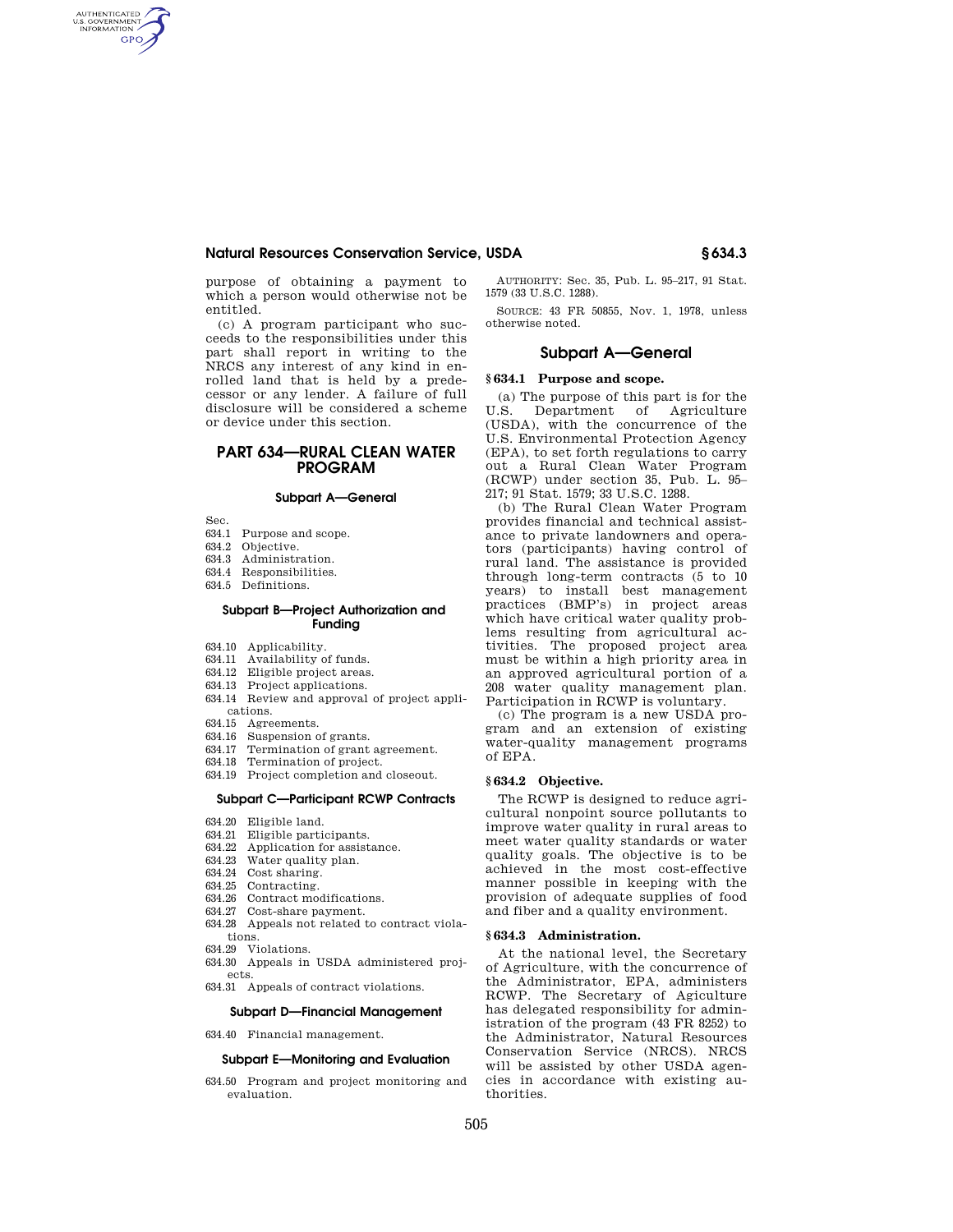## **Natural Resources Conservation Service, USDA § 634.3**

purpose of obtaining a payment to which a person would otherwise not be entitled.

(c) A program participant who succeeds to the responsibilities under this part shall report in writing to the NRCS any interest of any kind in enrolled land that is held by a predecessor or any lender. A failure of full disclosure will be considered a scheme or device under this section.

# **PART 634—RURAL CLEAN WATER PROGRAM**

### **Subpart A—General**

Sec.

AUTHENTICATED<br>U.S. GOVERNMENT<br>INFORMATION **GPO** 

- 634.1 Purpose and scope.
- 634.2 Objective.
- 634.3 Administration.
- 634.4 Responsibilities.
- 634.5 Definitions.

#### **Subpart B—Project Authorization and Funding**

- 634.10 Applicability.
- 634.11 Availability of funds.
- 634.12 Eligible project areas.
- 634.13 Project applications.
- 634.14 Review and approval of project applications.
- 634.15 Agreements.
- 634.16 Suspension of grants.
- 634.17 Termination of grant agreement.
- 634.18 Termination of project.
- 634.19 Project completion and closeout.

#### **Subpart C—Participant RCWP Contracts**

- 634.20 Eligible land.
- 634.21 Eligible participants.
- 634.22 Application for assistance.
- 634.23 Water quality plan.
- 634.24 Cost sharing.
- 634.25 Contracting.
- 634.26 Contract modifications.
- 634.27 Cost-share payment.
- 634.28 Appeals not related to contract violations.
- 634.29 Violations.
- 634.30 Appeals in USDA administered projects.
- 634.31 Appeals of contract violations.

#### **Subpart D—Financial Management**

634.40 Financial management.

# **Subpart E—Monitoring and Evaluation**

634.50 Program and project monitoring and evaluation.

AUTHORITY: Sec. 35, Pub. L. 95–217, 91 Stat. 1579 (33 U.S.C. 1288).

SOURCE: 43 FR 50855, Nov. 1, 1978, unless otherwise noted.

## **Subpart A—General**

#### **§ 634.1 Purpose and scope.**

(a) The purpose of this part is for the U.S. Department of Agriculture (USDA), with the concurrence of the U.S. Environmental Protection Agency (EPA), to set forth regulations to carry out a Rural Clean Water Program (RCWP) under section 35, Pub. L. 95– 217; 91 Stat. 1579; 33 U.S.C. 1288.

(b) The Rural Clean Water Program provides financial and technical assistance to private landowners and operators (participants) having control of rural land. The assistance is provided through long-term contracts (5 to 10 years) to install best management practices (BMP's) in project areas which have critical water quality problems resulting from agricultural activities. The proposed project area must be within a high priority area in an approved agricultural portion of a 208 water quality management plan. Participation in RCWP is voluntary.

(c) The program is a new USDA program and an extension of existing water-quality management programs of EPA.

#### **§ 634.2 Objective.**

The RCWP is designed to reduce agricultural nonpoint source pollutants to improve water quality in rural areas to meet water quality standards or water quality goals. The objective is to be achieved in the most cost-effective manner possible in keeping with the provision of adequate supplies of food and fiber and a quality environment.

#### **§ 634.3 Administration.**

At the national level, the Secretary of Agriculture, with the concurrence of the Administrator, EPA, administers RCWP. The Secretary of Agiculture has delegated responsibility for administration of the program (43 FR 8252) to the Administrator, Natural Resources Conservation Service (NRCS). NRCS will be assisted by other USDA agencies in accordance with existing authorities.